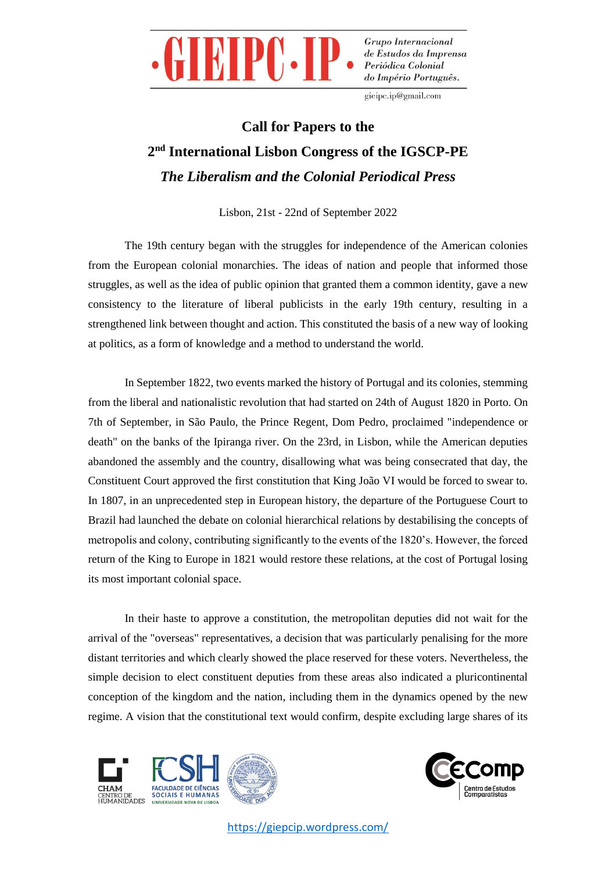

gieipc.ip@gmail.com

## **Call for Papers to the 2 nd International Lisbon Congress of the IGSCP-PE** *The Liberalism and the Colonial Periodical Press*

Lisbon, 21st - 22nd of September 2022

The 19th century began with the struggles for independence of the American colonies from the European colonial monarchies. The ideas of nation and people that informed those struggles, as well as the idea of public opinion that granted them a common identity, gave a new consistency to the literature of liberal publicists in the early 19th century, resulting in a strengthened link between thought and action. This constituted the basis of a new way of looking at politics, as a form of knowledge and a method to understand the world.

In September 1822, two events marked the history of Portugal and its colonies, stemming from the liberal and nationalistic revolution that had started on 24th of August 1820 in Porto. On 7th of September, in São Paulo, the Prince Regent, Dom Pedro, proclaimed "independence or death" on the banks of the Ipiranga river. On the 23rd, in Lisbon, while the American deputies abandoned the assembly and the country, disallowing what was being consecrated that day, the Constituent Court approved the first constitution that King João VI would be forced to swear to. In 1807, in an unprecedented step in European history, the departure of the Portuguese Court to Brazil had launched the debate on colonial hierarchical relations by destabilising the concepts of metropolis and colony, contributing significantly to the events of the 1820's. However, the forced return of the King to Europe in 1821 would restore these relations, at the cost of Portugal losing its most important colonial space.

In their haste to approve a constitution, the metropolitan deputies did not wait for the arrival of the "overseas" representatives, a decision that was particularly penalising for the more distant territories and which clearly showed the place reserved for these voters. Nevertheless, the simple decision to elect constituent deputies from these areas also indicated a pluricontinental conception of the kingdom and the nation, including them in the dynamics opened by the new regime. A vision that the constitutional text would confirm, despite excluding large shares of its



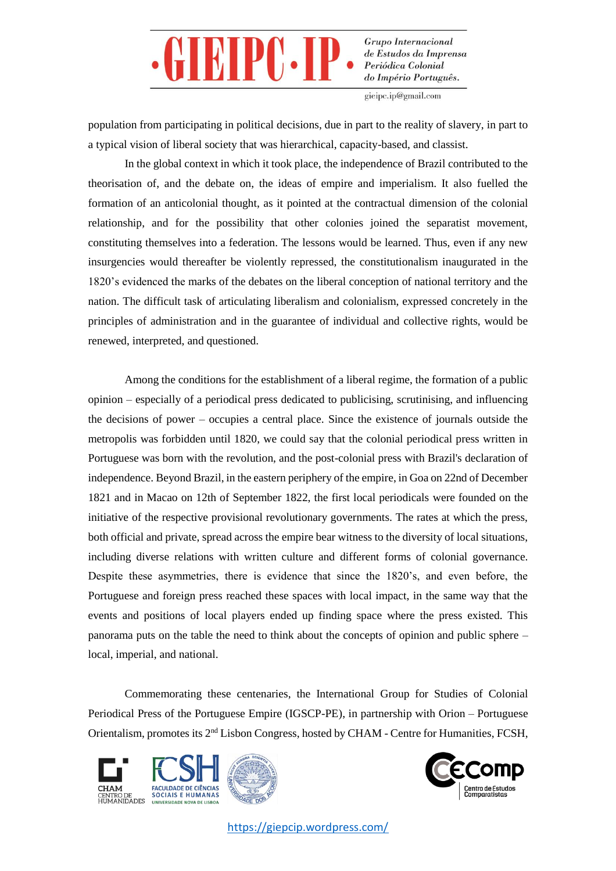

gieipc.ip@gmail.com

population from participating in political decisions, due in part to the reality of slavery, in part to a typical vision of liberal society that was hierarchical, capacity-based, and classist.

In the global context in which it took place, the independence of Brazil contributed to the theorisation of, and the debate on, the ideas of empire and imperialism. It also fuelled the formation of an anticolonial thought, as it pointed at the contractual dimension of the colonial relationship, and for the possibility that other colonies joined the separatist movement, constituting themselves into a federation. The lessons would be learned. Thus, even if any new insurgencies would thereafter be violently repressed, the constitutionalism inaugurated in the 1820's evidenced the marks of the debates on the liberal conception of national territory and the nation. The difficult task of articulating liberalism and colonialism, expressed concretely in the principles of administration and in the guarantee of individual and collective rights, would be renewed, interpreted, and questioned.

Among the conditions for the establishment of a liberal regime, the formation of a public opinion – especially of a periodical press dedicated to publicising, scrutinising, and influencing the decisions of power – occupies a central place. Since the existence of journals outside the metropolis was forbidden until 1820, we could say that the colonial periodical press written in Portuguese was born with the revolution, and the post-colonial press with Brazil's declaration of independence. Beyond Brazil, in the eastern periphery of the empire, in Goa on 22nd of December 1821 and in Macao on 12th of September 1822, the first local periodicals were founded on the initiative of the respective provisional revolutionary governments. The rates at which the press, both official and private, spread across the empire bear witness to the diversity of local situations, including diverse relations with written culture and different forms of colonial governance. Despite these asymmetries, there is evidence that since the 1820's, and even before, the Portuguese and foreign press reached these spaces with local impact, in the same way that the events and positions of local players ended up finding space where the press existed. This panorama puts on the table the need to think about the concepts of opinion and public sphere – local, imperial, and national.

Commemorating these centenaries, the International Group for Studies of Colonial Periodical Press of the Portuguese Empire (IGSCP-PE), in partnership with Orion – Portuguese Orientalism, promotes its 2nd Lisbon Congress, hosted by CHAM - Centre for Humanities, FCSH,





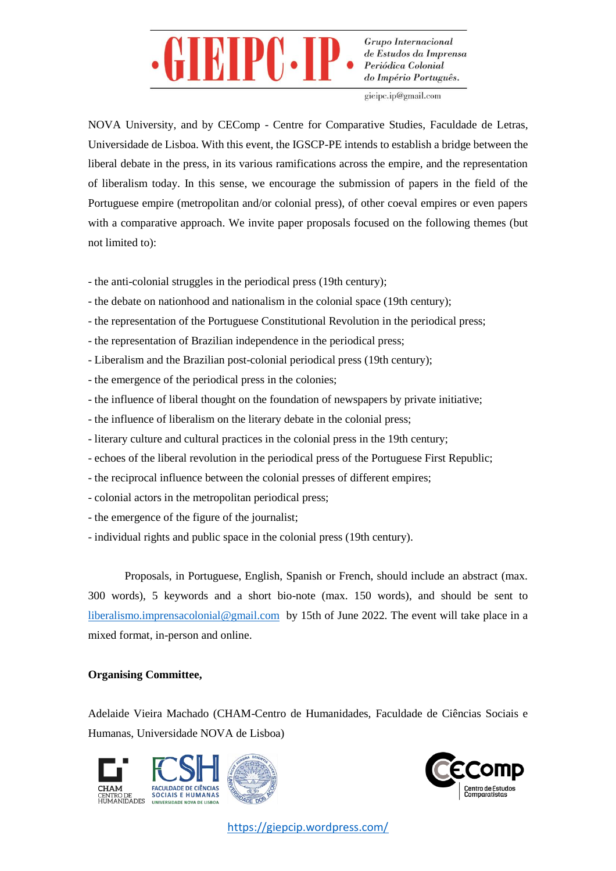

gieipc.ip@gmail.com

NOVA University, and by CEComp - Centre for Comparative Studies, Faculdade de Letras, Universidade de Lisboa. With this event, the IGSCP-PE intends to establish a bridge between the liberal debate in the press, in its various ramifications across the empire, and the representation of liberalism today. In this sense, we encourage the submission of papers in the field of the Portuguese empire (metropolitan and/or colonial press), of other coeval empires or even papers with a comparative approach. We invite paper proposals focused on the following themes (but not limited to):

- the anti-colonial struggles in the periodical press (19th century);
- the debate on nationhood and nationalism in the colonial space (19th century);
- the representation of the Portuguese Constitutional Revolution in the periodical press;
- the representation of Brazilian independence in the periodical press;
- Liberalism and the Brazilian post-colonial periodical press (19th century);
- the emergence of the periodical press in the colonies;
- the influence of liberal thought on the foundation of newspapers by private initiative;
- the influence of liberalism on the literary debate in the colonial press;
- literary culture and cultural practices in the colonial press in the 19th century;
- echoes of the liberal revolution in the periodical press of the Portuguese First Republic;
- the reciprocal influence between the colonial presses of different empires;
- colonial actors in the metropolitan periodical press;
- the emergence of the figure of the journalist;
- individual rights and public space in the colonial press (19th century).

Proposals, in Portuguese, English, Spanish or French, should include an abstract (max. 300 words), 5 keywords and a short bio-note (max. 150 words), and should be sent to [liberalismo.imprensacolonial@gmail.com](mailto:liberalismo.imprensacolonial@gmail.com) by 15th of June 2022. The event will take place in a mixed format, in-person and online.

## **Organising Committee,**

Adelaide Vieira Machado (CHAM-Centro de Humanidades, Faculdade de Ciências Sociais e Humanas, Universidade NOVA de Lisboa)